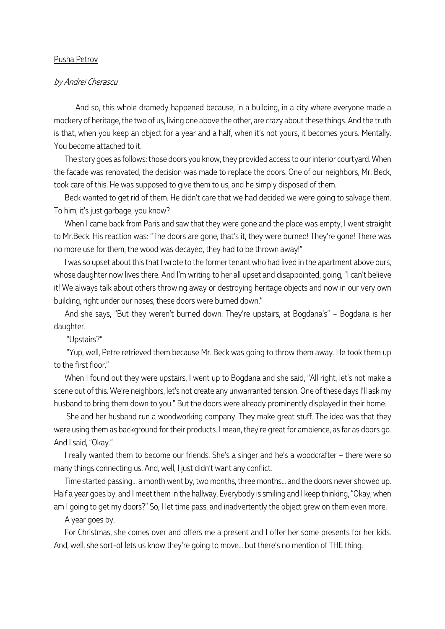## Pusha Petrov

### by Andrei Cherascu

And so, this whole dramedy happened because, in a building, in a city where everyone made a mockery of heritage, the two of us, living one above the other, are crazy about these things. And the truth is that, when you keep an object for a year and a half, when it's not yours, it becomes yours. Mentally. You become attached to it.

The story goes as follows: those doors you know, they provided access to our interior courtyard. When the facade was renovated, the decision was made to replace the doors. One of our neighbors, Mr. Beck, took care of this. He was supposed to give them to us, and he simply disposed of them.

Beck wanted to get rid of them. He didn't care that we had decided we were going to salvage them. To him, it's just garbage, you know?

When I came back from Paris and saw that they were gone and the place was empty, I went straight to Mr.Beck. His reaction was: "The doors are gone, that's it, they were burned! They're gone! There was no more use for them, the wood was decayed, they had to be thrown away!"

I was so upset about this that I wrote to the former tenant who had lived in the apartment above ours, whose daughter now lives there. And I'm writing to her all upset and disappointed, going, "I can't believe it! We always talk about others throwing away or destroying heritage objects and now in our very own building, right under our noses, these doors were burned down."

And she says, "But they weren't burned down. They're upstairs, at Bogdana's" – Bogdana is her daughter.

"Upstairs?"

"Yup, well, Petre retrieved them because Mr. Beck was going to throw them away. He took them up to the first floor."

When I found out they were upstairs, I went up to Bogdana and she said, "All right, let's not make a scene out of this. We're neighbors, let's not create any unwarranted tension. One of these days I'll ask my husband to bring them down to you." But the doors were already prominently displayed in their home.

She and her husband run a woodworking company. They make great stuff. The idea was that they were using them as background for their products. I mean, they're great for ambience, as far as doors go. And I said, "Okay."

I really wanted them to become our friends. She's a singer and he's a woodcrafter – there were so many things connecting us. And, well, I just didn't want any conflict.

Time started passing... a month went by, two months, three months... and the doors never showed up. Half a year goes by, and I meet them in the hallway. Everybody is smiling and I keep thinking, "Okay, when am I going to get my doors?" So, I let time pass, and inadvertently the object grew on them even more.

A year goes by.

For Christmas, she comes over and offers me a present and I offer her some presents for her kids. And, well, she sort-of lets us know they're going to move... but there's no mention of THE thing.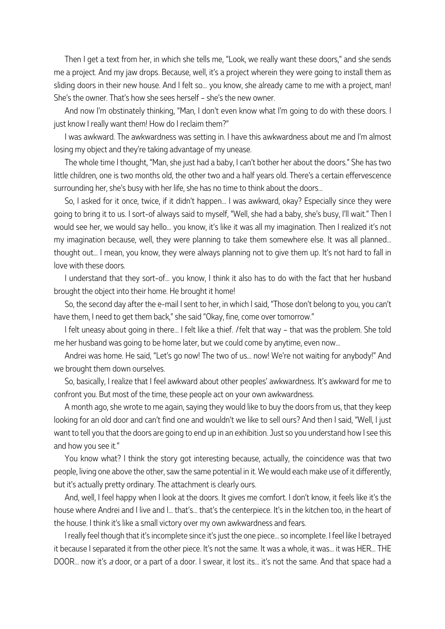Then I get a text from her, in which she tells me, "Look, we really want these doors," and she sends me a project. And my jaw drops. Because, well, it's a project wherein they were going to install them as sliding doors in their new house. And I felt so... you know, she already came to me with a project, man! She's the owner. That's how she sees herself – she's the new owner.

And now I'm obstinately thinking, "Man, I don't even know what I'm going to do with these doors. I just know I really want them! How do I reclaim them?"

I was awkward. The awkwardness was setting in. I have this awkwardness about me and I'm almost losing my object and they're taking advantage of my unease.

The whole time I thought, "Man, she just had a baby, I can't bother her about the doors." She has two little children, one is two months old, the other two and a half years old. There's a certain effervescence surrounding her, she's busy with her life, she has no time to think about the doors...

So, I asked for it once, twice, if it didn't happen... I was awkward, okay? Especially since they were going to bring it to us. I sort-of always said to myself, "Well, she had a baby, she's busy, I'll wait." Then I would see her, we would say hello... you know, it's like it was all my imagination. Then I realized it's not my imagination because, well, they were planning to take them somewhere else. It was all planned... thought out... I mean, you know, they were always planning not to give them up. It's not hard to fall in love with these doors.

I understand that they sort-of... you know, I think it also has to do with the fact that her husband brought the object into their home. He brought it home!

So, the second day after the e-mail I sent to her, in which I said, "Those don't belong to you, you can't have them, I need to get them back," she said "Okay, fine, come over tomorrow."

I felt uneasy about going in there... I felt like a thief. /felt that way - that was the problem. She told me her husband was going to be home later, but we could come by anytime, even now...

Andrei was home. He said, "Let's go now! The two of us... now! We're not waiting for anybody!" And we brought them down ourselves.

So, basically, I realize that I feel awkward about other peoples' awkwardness. It's awkward for me to confront you. But most of the time, these people act on your own awkwardness.

A month ago, she wrote to me again, saying they would like to buy the doors from us, that they keep looking for an old door and can't find one and wouldn't we like to sell ours? And then I said, "Well, I just want to tell you that the doors are going to end up in an exhibition. Just so you understand how I see this and how you see it."

You know what? I think the story got interesting because, actually, the coincidence was that two people, living one above the other, saw the same potential in it. We would each make use of it differently, but it's actually pretty ordinary. The attachment is clearly ours.

And, well, I feel happy when I look at the doors. It gives me comfort. I don't know, it feels like it's the house where Andrei and I live and I... that's... that's the centerpiece. It's in the kitchen too, in the heart of the house. I think it's like a small victory over my own awkwardness and fears.

I really feel though that it's incomplete since it's just the one piece... so incomplete. I feel like I betrayed it because I separated it from the other piece. It's not the same. It was a whole, it was... it was HER... THE DOOR... now it's a door, or a part of a door. I swear, it lost its... it's not the same. And that space had a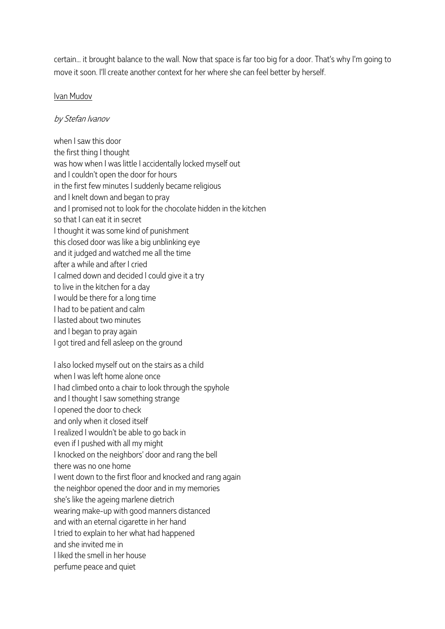certain... it brought balance to the wall. Now that space is far too big for a door. That's why I'm going to move it soon. I'll create another context for her where she can feel better by herself.

# Ivan Mudov

# by Stefan Ivanov

when I saw this door the first thing I thought was how when I was little I accidentally locked myself out and I couldn't open the door for hours in the first few minutes I suddenly became religious and I knelt down and began to pray and I promised not to look for the chocolate hidden in the kitchen so that I can eat it in secret I thought it was some kind of punishment this closed door was like a big unblinking eye and it judged and watched me all the time after a while and after I cried I calmed down and decided I could give it a try to live in the kitchen for a day I would be there for a long time I had to be patient and calm I lasted about two minutes and I began to pray again I got tired and fell asleep on the ground

I also locked myself out on the stairs as a child when I was left home alone once I had climbed onto a chair to look through the spyhole and I thought I saw something strange I opened the door to check and only when it closed itself I realized I wouldn't be able to go back in even if I pushed with all my might I knocked on the neighbors' door and rang the bell there was no one home I went down to the first floor and knocked and rang again the neighbor opened the door and in my memories she's like the ageing marlene dietrich wearing make-up with good manners distanced and with an eternal cigarette in her hand I tried to explain to her what had happened and she invited me in I liked the smell in her house perfume peace and quiet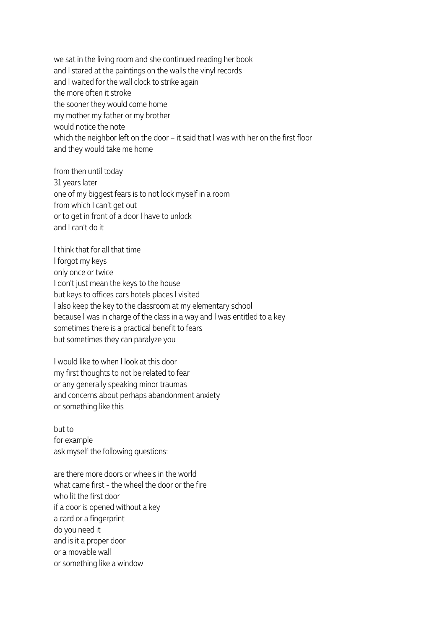we sat in the living room and she continued reading her book and I stared at the paintings on the walls the vinyl records and I waited for the wall clock to strike again the more often it stroke the sooner they would come home my mother my father or my brother would notice the note which the neighbor left on the door – it said that I was with her on the first floor and they would take me home

from then until today 31 years later one of my biggest fears is to not lock myself in a room from which I can't get out or to get in front of a door I have to unlock and I can't do it

I think that for all that time I forgot my keys only once or twice I don't just mean the keys to the house but keys to offices cars hotels places I visited I also keep the key to the classroom at my elementary school because I was in charge of the class in a way and I was entitled to a key sometimes there is a practical benefit to fears but sometimes they can paralyze you

I would like to when I look at this door my first thoughts to not be related to fear or any generally speaking minor traumas and concerns about perhaps abandonment anxiety or something like this

but to for example ask myself the following questions:

are there more doors or wheels in the world what came first - the wheel the door or the fire who lit the first door if a door is opened without a key a card or a fingerprint do you need it and is it a proper door or a movable wall or something like a window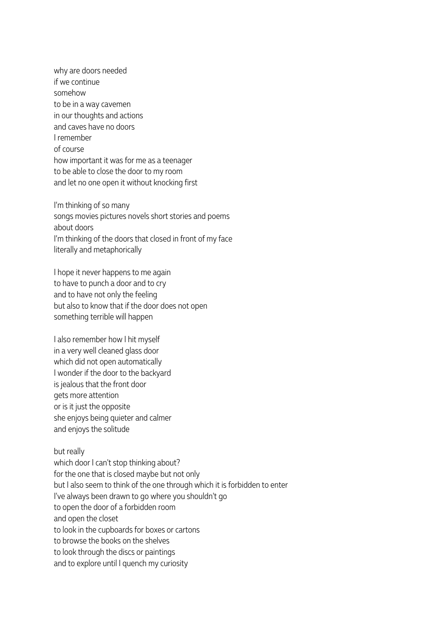why are doors needed if we continue somehow to be in a way cavemen in our thoughts and actions and caves have no doors I remember of course how important it was for me as a teenager to be able to close the door to my room and let no one open it without knocking first

I'm thinking of so many songs movies pictures novels short stories and poems about doors I'm thinking of the doors that closed in front of my face literally and metaphorically

I hope it never happens to me again to have to punch a door and to cry and to have not only the feeling but also to know that if the door does not open something terrible will happen

I also remember how I hit myself in a very well cleaned glass door which did not open automatically I wonder if the door to the backyard is jealous that the front door gets more attention or is it just the opposite she enjoys being quieter and calmer and enjoys the solitude

## but really

which door I can't stop thinking about? for the one that is closed maybe but not only but I also seem to think of the one through which it is forbidden to enter I've always been drawn to go where you shouldn't go to open the door of a forbidden room and open the closet to look in the cupboards for boxes or cartons to browse the books on the shelves to look through the discs or paintings and to explore until I quench my curiosity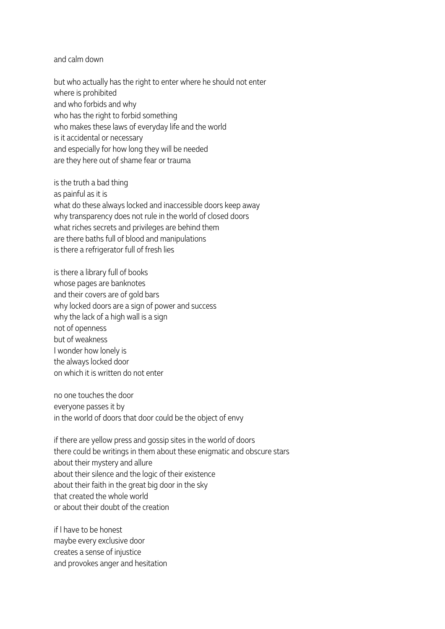### and calm down

but who actually has the right to enter where he should not enter where is prohibited and who forbids and why who has the right to forbid something who makes these laws of everyday life and the world is it accidental or necessary and especially for how long they will be needed are they here out of shame fear or trauma

is the truth a bad thing as painful as it is what do these always locked and inaccessible doors keep away why transparency does not rule in the world of closed doors what riches secrets and privileges are behind them are there baths full of blood and manipulations is there a refrigerator full of fresh lies

is there a library full of books whose pages are banknotes and their covers are of gold bars why locked doors are a sign of power and success why the lack of a high wall is a sign not of openness but of weakness I wonder how lonely is the always locked door on which it is written do not enter

no one touches the door everyone passes it by in the world of doors that door could be the object of envy

if there are yellow press and gossip sites in the world of doors there could be writings in them about these enigmatic and obscure stars about their mystery and allure about their silence and the logic of their existence about their faith in the great big door in the sky that created the whole world or about their doubt of the creation

if I have to be honest maybe every exclusive door creates a sense of injustice and provokes anger and hesitation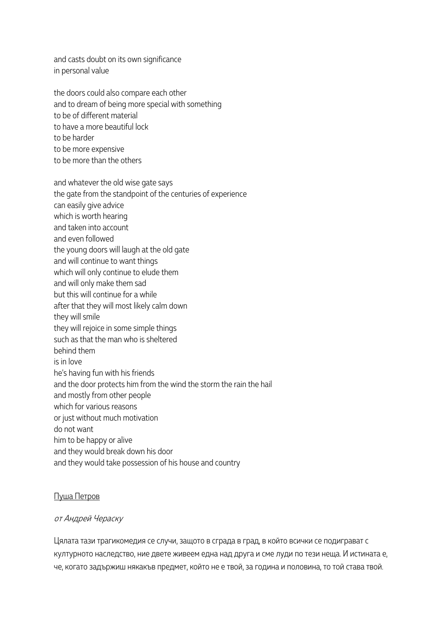and casts doubt on its own significance in personal value

the doors could also compare each other and to dream of being more special with something to be of different material to have a more beautiful lock to be harder to be more expensive to be more than the others

and whatever the old wise gate says

the gate from the standpoint of the centuries of experience

can easily give advice which is worth hearing and taken into account and even followed the young doors will laugh at the old gate and will continue to want things which will only continue to elude them and will only make them sad but this will continue for a while after that they will most likely calm down they will smile they will rejoice in some simple things such as that the man who is sheltered behind them is in love he's having fun with his friends and the door protects him from the wind the storm the rain the hail and mostly from other people which for various reasons or just without much motivation do not want him to be happy or alive and they would break down his door and they would take possession of his house and country

# Пуша Петров

# от Андрей Чераску

Цялата тази трагикомедия се случи, защото в сграда в град, в който всички се подиграват с културното наследство, ние двете живеем една над друга и сме луди по тези неща. И истината е, че, когато задържиш някакъв предмет, който не е твой, за година и половина, то той става твой.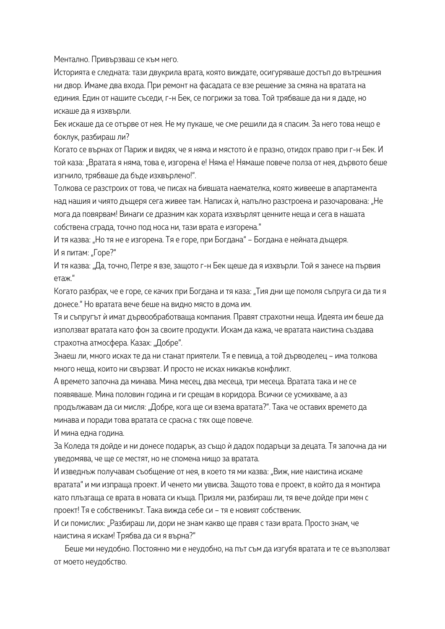Ментално. Привързваш се към него.

Историята е следната: тази двукрила врата, която виждате, осигуряваше достъп до вътрешния ни двор. Имаме два входа. При ремонт на фасадата се взе решение за смяна на вратата на единия. Един от нашите съседи, г-н Бек, се погрижи за това. Той трябваше да ни я даде, но искаше да я изхвърли.

Бек искаше да се отърве от нея. Не му пукаше, че сме решили да я спасим. За него това нещо е боклук, разбираш ли?

Когато се върнах от Париж и видях, че я няма и мястото ѝ е празно, отидох право при г-н Бек. И той каза: "Вратата я няма, това е, изгорена е! Няма е! Нямаше повече полза от нея, дървото беше изгнило, трябваше да бъде изхвърлено!".

Толкова се разстроих от това, че писах на бившата наемателка, която живееше в апартамента над нашия и чиято дъщеря сега живее там. Написах ѝ, напълно разстроена и разочарована: "Не мога да повярвам! Винаги се дразним как хората изхвърлят ценните неща и сега в нашата собствена сграда, точно под носа ни, тази врата е изгорена."

И тя казва: "Но тя не е изгорена. Тя е горе, при Богдана" – Богдана е нейната дъщеря. И я питам: "Горе?"

И тя казва: "Да, точно, Петре я взе, защото г-н Бек щеше да я изхвърли. Той я занесе на първия етаж."

Когато разбрах, че е горе, се качих при Богдана и тя каза: "Тия дни ще помоля съпруга си да ти я донесе." Но вратата вече беше на видно място в дома им.

Тя и съпругът ѝ имат дървообработваща компания. Правят страхотни неща. Идеята им беше да използват вратата като фон за своите продукти. Искам да кажа, че вратата наистина създава страхотна атмосфера. Казах: "Добре".

Знаеш ли, много исках те да ни станат приятели. Тя е певица, а той дърводелец – има толкова много неща, които ни свързват. И просто не исках никакъв конфликт.

А времето започна да минава. Mина месец, два месеца, три месеца. Вратата така и не се появяваше. Мина половин година и ги срещам в коридора. Всички се усмихваме, а аз продължавам да си мисля: "Добре, кога ще си взема вратата?". Така че оставих времето да минава и поради това вратата се срасна с тях още повече.

И мина една година.

За Коледа тя дойде и ни донесе подарък, аз също ѝ дадох подаръци за децата. Тя започна да ни уведомява, че ще се местят, но не спомена нищо за вратата.

И изведнъж получавам съобщение от нея, в което тя ми казва: "Виж, ние наистина искаме вратата" и ми изпраща проект. И ченето ми увисва. Защото това е проект, в който да я монтира като плъзгаща се врата в новата си къща. Призля ми, разбираш ли, тя вече дойде при мен с проект! Тя е собственикът. Така вижда себе си – тя е новият собственик.

И си помислих: "Разбираш ли, дори не знам какво ще правя с тази врата. Просто знам, че наистина я искам! Трябва да си я върна?"

Бeше ми неудобно. Постоянно ми е неудобно, на път съм да изгубя вратата и те се възползват от моето неудобство.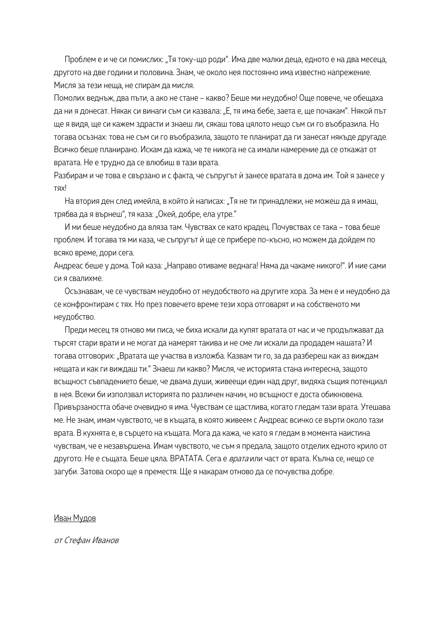Проблем е и че си помислих: "Тя току-що роди". Има две малки деца, едното е на два месеца, другото на две години и половина. Знам, че около нея постоянно има известно напрежение. Мисля за тези неща, не спирам да мисля.

Помолих веднъж, два пъти, а ако не стане – какво? Беше ми неудобно! Още повече, че обещаха да ни я донесат. Някак си винаги съм си казвала: "Е, тя има бебе, заета е, ще почакам". Някой път ще я видя, ще си кажем здрасти и знаеш ли, сякаш това цялото нещо съм си го въобразила. Но тогава осъзнах: това не съм си го въобразила, защото те планират да ги занесат някъде другаде. Всичко беше планирано. Искам да кажа, че те никога не са имали намерение да се откажат от вратата. Не е трудно да се влюбиш в тази врата.

Разбирам и че това е свързано и с факта, че съпругът ѝ занесе вратата в дома им. Той я занесе у тях!

На втория ден след имейла, в който ѝ написах: "Тя не ти принадлежи, не можеш да я имаш, трябва да я върнеш", тя каза: "Окей, добре, ела утре."

И ми беше неудобно да вляза там. Чувствах се като крадец. Почувствах се така – това беше проблем. И тогава тя ми каза, че съпругът ѝ ще се прибере по-късно, но можем да дойдем по всяко време, дори сега.

Андреас беше у дома. Той каза: "Направо отиваме веднага! Няма да чакаме никого!". И ние сами си я свалихме.

Осъзнавам, че се чувствам неудобно от неудобството на другите хора. За мен е и неудобно да се конфронтирам с тях. Но през повечето време тези хора отговарят и на собственото ми неудобство.

Преди месец тя отново ми писа, че биха искали да купят вратата от нас и че продължават да търсят стари врати и не могат да намерят такива и не сме ли искали да продадем нашата? И тогава отговорих: "Вратата ще участва в изложба. Казвам ти го, за да разбереш как аз виждам нещата и как ги виждаш ти." Знаеш ли какво? Мисля, че историята стана интересна, защото всъщност съвпадението беше, че двама души, живеещи един над друг, видяха същия потенциал в нея. Всеки би използвал историята по различен начин, но всъщност е доста обикновена. Привързаността обаче очевидно я има. Чувствам се щастлива, когато гледам тази врата. Утешава ме. Не знам, имам чувството, че в къщата, в която живеем с Андреас всичко се върти около тази врата. В кухнята е, в сърцето на къщата. Мога да кажа, че като я гледам в момента наистина чувствам, че е незавършена. Имам чувството, че съм я предала, защото отделих едното крило от другото. Не е същата. Беше цяла. ВРАТАТА. Сега е *врата* или част от врата. Кълна се, нещо се загуби. Затова скоро ще я преместя. Ще я накарам отново да се почувства добре.

#### Иван Мудов

от Стефан Иванов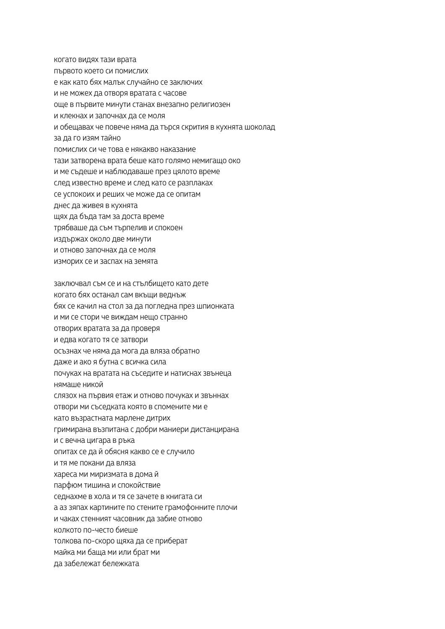- когато видях тази врата
- първото което си помислих
- е как като бях малък случайно се заключих
- и не можех да отворя вратата с часове
- още в първите минути станах внезапно религиозен
- и клекнах и започнах да се моля
- и обещавах че повече няма да търся скрития в кухнята шоколад
- за да го изям тайно
- помислих си че това е някакво наказание
- тази затворена врата беше като голямо немигащо око
- и ме съдеше и наблюдаваше през цялото време
- след известно време и след като се разплаках
- се успокоих и реших че може да се опитам
- днес да живея в кухнята
- щях да бъда там за доста време
- трябваше да съм търпелив и спокоен
- издържах около две минути
- и отново започнах да се моля
- изморих се и заспах на земята
- заключвал съм се и на стълбището като дете
- когато бях останал сам вкъщи веднъж
- бях се качил на стол за да погледна през шпионката
- и ми се стори че виждам нещо странно
- отворих вратата за да проверя
- и едва когато тя се затвори
- осъзнах че няма да мога да вляза обратно
- даже и ако я бутна с всичка сила
- почуках на вратата на съседите и натиснах звънеца
- нямаше никой
- слязох на първия етаж и отново почуках и звъннах
- отвори ми съседката която в спомените ми е
- като възрастната марлене дитрих
- гримирана възпитана с добри маниери дистанцирана
- и с вечна цигара в ръка
- опитах се да й обясня какво се е случило
- и тя ме покани да вляза
- хареса ми миризмата в дома й
- парфюм тишина и спокойствие
- седнахме в хола и тя се зачете в книгата си
- а аз зяпах картините по стените грамофонните плочи
- и чаках стенният часовник да забие отново
- колкото по-често биеше
- толкова по-скоро щяха да се приберат
- майка ми баща ми или брат ми
- да забележат бележката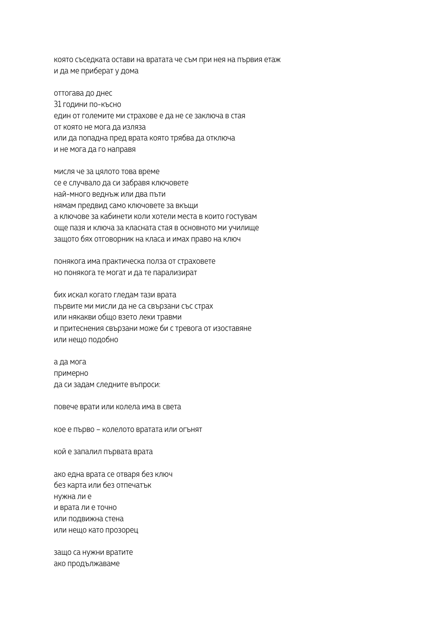която съседката остави на вратата че съм при нея на първия етаж и да ме приберат у дома

оттогава до днес 31 години по-късно един от големите ми страхове е да не се заключа в стая от която не мога да изляза или да попадна пред врата която трябва да отключа и не мога да го направя

мисля че за цялото това време се е случвало да си забравя ключовете най-много веднъж или два пъти нямам предвид само ключовете за вкъщи а ключове за кабинети коли хотели места в които гостувам още пазя и ключа за класната стая в основното ми училище защото бях отговорник на класа и имах право на ключ

понякога има практическа полза от страховете но понякога те могат и да те парализират

бих искал когато гледам тази врата първите ми мисли да не са свързани със страх или някакви общо взето леки травми и притеснения свързани може би с тревога от изоставяне или нещо подобно

а да мога примерно да си задам следните въпроси:

повече врати или колела има в света

кое е първо – колелото вратата или огънят

кой е запалил първата врата

ако една врата се отваря без ключ без карта или без отпечатък нужна ли е и врата ли е точно или подвижна стена или нещо като прозорец

защо са нужни вратите ако продължаваме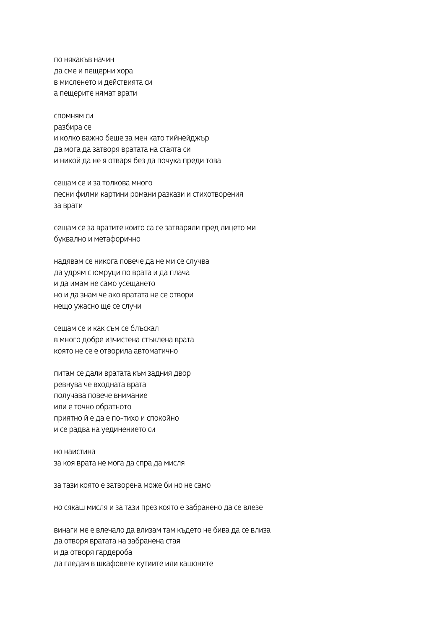по някакъв начин да сме и пещерни хора в мисленето и действията си а пещерите нямат врати

спомням си разбира се и колко важно беше за мен като тийнейджър да мога да затворя вратата на стаята си и никой да не я отваря без да почука преди това

сещам се и за толкова много песни филми картини романи разкази и стихотворения за врати

сещам се за вратите които са се затваряли пред лицето ми буквално и метафорично

надявам се никога повече да не ми се случва да удрям с юмруци по врата и да плача и да имам не само усещането но и да знам че ако вратата не се отвори нещо ужасно ще се случи

сещам се и как съм се блъскал в много добре изчистена стъклена врата която не се е отворила автоматично

питам се дали вратата към задния двор ревнува че входната врата получава повече внимание или е точно обратното приятно й е да е по-тихо и спокойно и се радва на уединението си

но наистина за коя врата не мога да спра да мисля

за тази която е затворена може би но не само

но сякаш мисля и за тази през която е забранено да се влезе

винаги ме е влечало да влизам там където не бива да се влиза да отворя вратата на забранена стая и да отворя гардероба да гледам в шкафовете кутиите или кашоните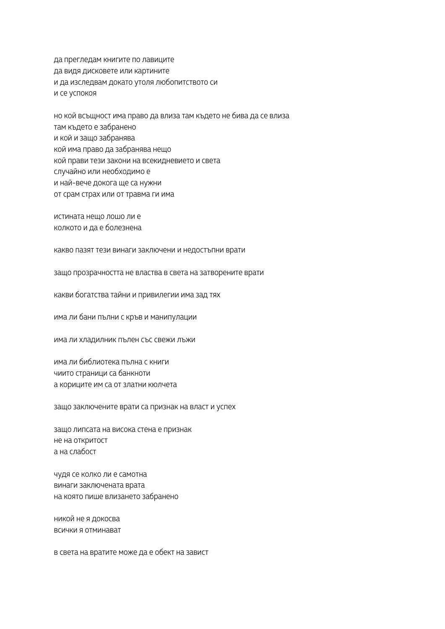да прегледам книгите по лавиците да видя дисковете или картините и да изследвам докато утоля любопитството си и се успокоя

но кой всъщност има право да влиза там където не бива да се влиза там където е забранено и кой и защо забранява кой има право да забранява нещо кой прави тези закони на всекидневието и света случайно или необходимо е и най-вече докога ще са нужни от срам страх или от травма ги има

истината нещо лошо ли е колкото и да е болезнена

какво пазят тези винаги заключени и недостъпни врати

защо прозрачността не властва в света на затворените врати

какви богатства тайни и привилегии има зад тях

има ли бани пълни с кръв и манипулации

има ли хладилник пълен със свежи лъжи

има ли библиотека пълна с книги чиито страници са банкноти а кориците им са от златни кюлчета

защо заключените врати са признак на власт и успех

защо липсата на висока стена е признак не на откритост а на слабост

чудя се колко ли е самотна винаги заключената врата на която пише влизането забранено

никой не я докосва всички я отминават

в света на вратите може да е обект на завист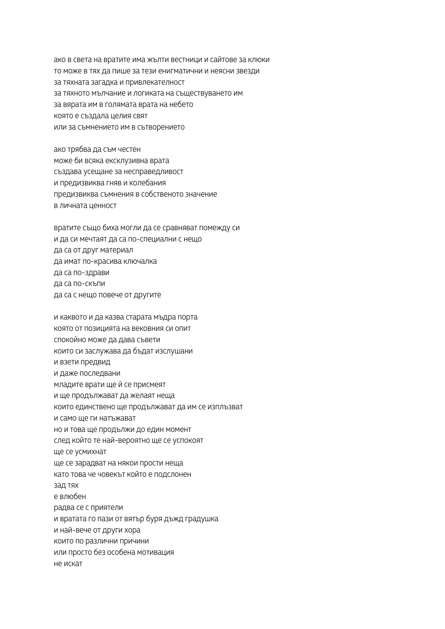ако в света на вратите има жълти вестници и сайтове за клюки то може в тях да пише за тези енигматични и неясни звезди за тяхната загадка и привлекателност за тяхното мълчание и логиката на съществуването им за вярата им в голямата врата на небето която е създала целия свят или за съмнението им в сътворението

ако трябва да съм честен може би всяка ексклузивна врата създава усещане за несправедливост и предизвиква гняв и колебания предизвиква съмнения в собственото значение в личната ценност

вратите също биха могли да се сравняват помежду си и да си мечтаят да са по-специални с нещо да са от друг материал да имат по-красива ключалка да са по-здрави да са по-скъпи да са с нещо повече от другите

```
и каквото и да казва старата мъдра порта
която от позицията на вековния си опит
спокойно може да дава съвети
които си заслужава да бъдат изслушани
и взети предвид
и даже последвани
младите врати ще й се присмеят
и ще продължават да желаят неща
които единствено ще продължават да им се изплъзват
и само ще ги натъжават
но и това ще продължи до един момент
след който те най-вероятно ще се успокоят
ще се усмихнат
ще се зарадват на някои прости неща
като това че човекът който е подслонен
зад тях
е влюбен
радва се с приятели
и вратата го пази от вятър буря дъжд градушка
и най-вече от други хора
които по различни причини
или просто без особена мотивация
не искат
```